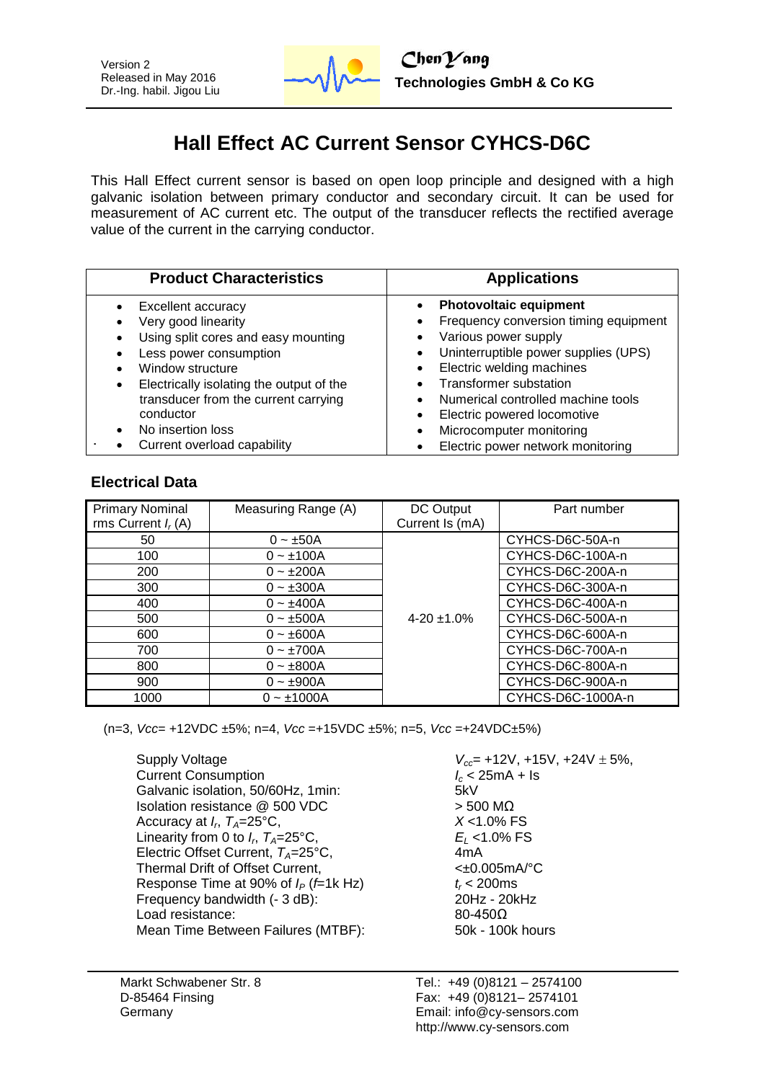

# **Hall Effect AC Current Sensor CYHCS-D6C**

This Hall Effect current sensor is based on open loop principle and designed with a high galvanic isolation between primary conductor and secondary circuit. It can be used for measurement of AC current etc. The output of the transducer reflects the rectified average value of the current in the carrying conductor.

| <b>Product Characteristics</b>                                                                                                                                                                                                                                 | <b>Applications</b>                                                                                                                                                                                                                                                                                        |
|----------------------------------------------------------------------------------------------------------------------------------------------------------------------------------------------------------------------------------------------------------------|------------------------------------------------------------------------------------------------------------------------------------------------------------------------------------------------------------------------------------------------------------------------------------------------------------|
| Excellent accuracy<br>Very good linearity<br>Using split cores and easy mounting<br>٠<br>Less power consumption<br>Window structure<br>Electrically isolating the output of the<br>٠<br>transducer from the current carrying<br>conductor<br>No insertion loss | <b>Photovoltaic equipment</b><br>Frequency conversion timing equipment<br>Various power supply<br>Uninterruptible power supplies (UPS)<br>Electric welding machines<br><b>Transformer substation</b><br>Numerical controlled machine tools<br>Electric powered locomotive<br>٠<br>Microcomputer monitoring |
| Current overload capability                                                                                                                                                                                                                                    | Electric power network monitoring                                                                                                                                                                                                                                                                          |

# **Electrical Data**

| <b>Primary Nominal</b><br>rms Current $I_r(A)$ | Measuring Range (A) | DC Output<br>Current Is (mA) | Part number       |
|------------------------------------------------|---------------------|------------------------------|-------------------|
| 50                                             | $0 \sim \pm 50A$    |                              | CYHCS-D6C-50A-n   |
| 100                                            | $0 - \pm 100A$      |                              | CYHCS-D6C-100A-n  |
| 200                                            | $0 - \pm 200A$      |                              | CYHCS-D6C-200A-n  |
| 300                                            | $0 - \pm 300A$      |                              | CYHCS-D6C-300A-n  |
| 400                                            | $0 - \pm 400A$      |                              | CYHCS-D6C-400A-n  |
| 500                                            | $0 - \pm 500A$      | $4-20 \pm 1.0\%$             | CYHCS-D6C-500A-n  |
| 600                                            | $0 - \pm 600A$      |                              | CYHCS-D6C-600A-n  |
| 700                                            | $0 - \pm 700A$      |                              | CYHCS-D6C-700A-n  |
| 800                                            | $0 - \pm 800A$      |                              | CYHCS-D6C-800A-n  |
| 900                                            | $0 - \pm 900A$      |                              | CYHCS-D6C-900A-n  |
| 1000                                           | $0 - \pm 1000A$     |                              | CYHCS-D6C-1000A-n |

(n=3, *Vcc*= +12VDC ±5%; n=4, *Vcc* =+15VDC ±5%; n=5, *Vcc* =+24VDC±5%)

Supply Voltage *V*<sub>cc</sub>= +12V, +15V, +24V  $\pm$  5%, Current Consumption *V*<sub>c</sub> < 25mA + Is Current Consumption<br>Galvanic isolation. 50/60Hz. 1min: 56XV Galvanic isolation, 50/60Hz, 1min: Isolation resistance @ 500 VDC > 500 MΩ Accuracy at  $I_r$ ,  $T_A = 25$ °C, Linearity from 0 to  $I_r$ ,  $T_A = 25^\circ \text{C}$ , Electric Offset Current,  $T_A=25^{\circ}$ C, 4mA Thermal Drift of Offset Current,  $\leftarrow$  40.005mA/°C Response Time at 90% of  $I_P$  (*f*=1k Hz)  $t_f$  < 200ms<br>Frequency bandwidth (- 3 dB): 20Hz - 20KHz Frequency bandwidth (- 3 dB): Load resistance: 80-450Ω Mean Time Between Failures (MTBF): 50k - 100k hours

, *TA*=25°C, *X* <1.0% FS , *TA*=25°C, *E<sup>L</sup>* <1.0% FS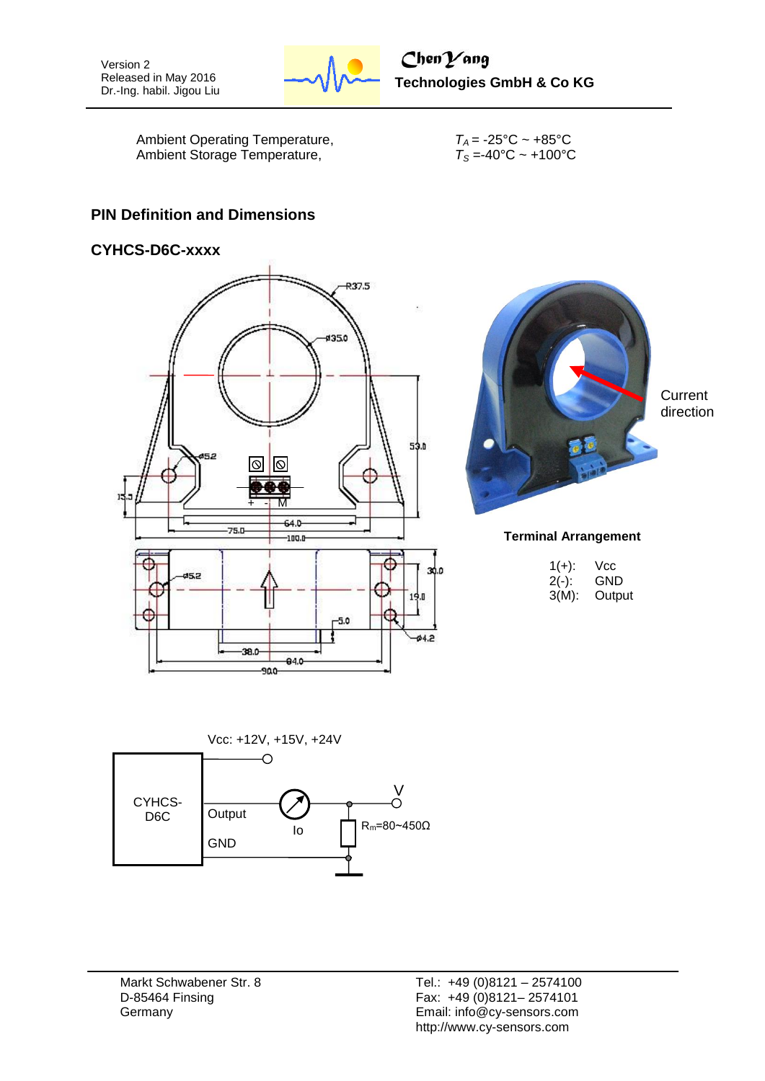

Ambient Operating Temperature,  $T_A = -25^{\circ}C \sim +85^{\circ}C$ Ambient Storage Temperature,  $T_S = -40^\circ \text{C} \sim +100^\circ \text{C}$ 

### **PIN Definition and Dimensions**

### **CYHCS-D6C-xxxx**





**Terminal Arrangement**

| $1(+)$ : | Vcc    |
|----------|--------|
| $2(-)$ : | GND    |
| $3(M)$ : | Output |



Markt Schwabener Str. 8 D-85464 Finsing **Germany**